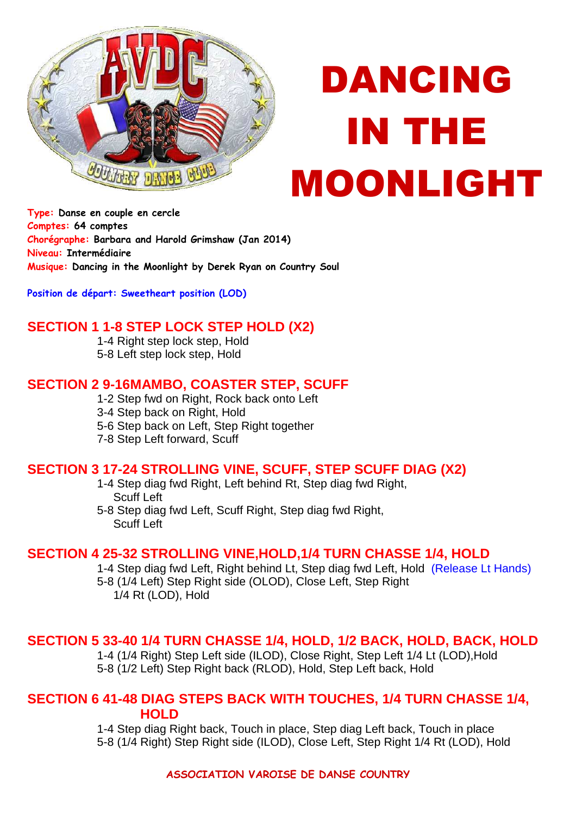

# DANCING IN THE MOONLIGHT

**Type: Danse en couple en cercle Comptes: 64 comptes Chorégraphe: Barbara and Harold Grimshaw (Jan 2014) Niveau: Intermédiaire Musique: Dancing in the Moonlight by Derek Ryan on Country Soul** 

**Position de départ: Sweetheart position (LOD)** 

## **SECTION 1 1-8 STEP LOCK STEP HOLD (X2)**

1-4 Right step lock step, Hold 5-8 Left step lock step, Hold

## **SECTION 2 9-16 MAMBO, COASTER STEP, SCUFF**

1-2 Step fwd on Right, Rock back onto Left

- 3-4 Step back on Right, Hold
- 5-6 Step back on Left, Step Right together
- 7-8 Step Left forward, Scuff

### **SECTION 3 17-24 STROLLING VINE, SCUFF, STEP SCUFF DIAG (X2)**

1-4 Step diag fwd Right, Left behind Rt, Step diag fwd Right, Scuff Left

5-8 Step diag fwd Left, Scuff Right, Step diag fwd Right, Scuff Left

### **SECTION 4 25-32 STROLLING VINE,HOLD,1/4 TURN CHASSE 1/4, HOLD**

1-4 Step diag fwd Left, Right behind Lt, Step diag fwd Left, Hold (Release Lt Hands) 5-8 (1/4 Left) Step Right side (OLOD), Close Left, Step Right 1/4 Rt (LOD), Hold

### **SECTION 5 33-40 1/4 TURN CHASSE 1/4, HOLD, 1/2 BACK, HOLD, BACK, HOLD**

1-4 (1/4 Right) Step Left side (ILOD), Close Right, Step Left 1/4 Lt (LOD),Hold 5-8 (1/2 Left) Step Right back (RLOD), Hold, Step Left back, Hold

#### **SECTION 6 41-48 DIAG STEPS BACK WITH TOUCHES, 1/4 TURN CHASSE 1/4, HOLD**

1-4 Step diag Right back, Touch in place, Step diag Left back, Touch in place 5-8 (1/4 Right) Step Right side (ILOD), Close Left, Step Right 1/4 Rt (LOD), Hold